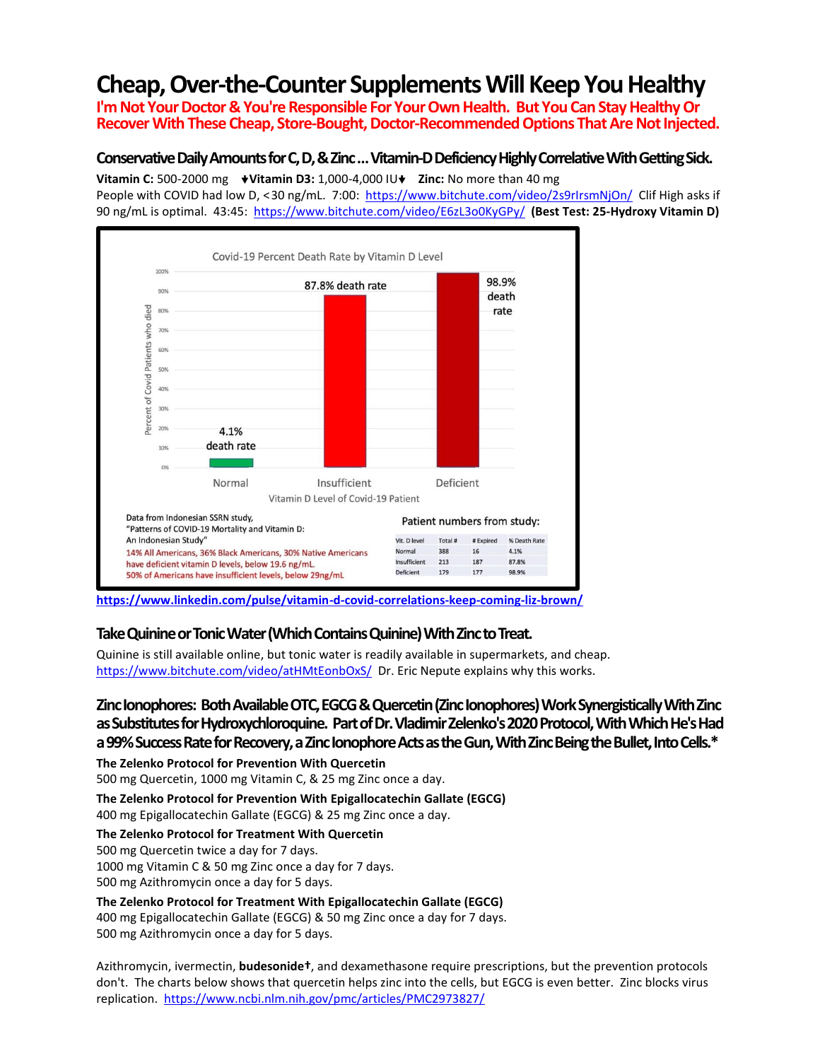# **Cheap, Over-the-Counter SupplementsWill Keep You Healthy**

**I'mNot Your Doctor&You're Responsible For Your Own Health. But You Can Stay HealthyOr Recover With These Cheap, Store-Bought, Doctor-Recommended Options That Are Not Injected.** 

### **Conservative DailyAmounts for C, D,& Zinc…Vitamin-D Deficiency Highly Correlative With Getting Sick.**

**Vitamin C:** 500-2000 mg **↓Vitamin D3:** 1,000-4,000 IU **↓ Zinc:** No more than 40 mg People with COVID had low D, <30 ng/mL. 7:00: <https://www.bitchute.com/video/2s9rIrsmNjOn/>Clif High asks if

90 ng/mL is optimal. 43:45:<https://www.bitchute.com/video/E6zL3o0KyGPy/>**(Best Test: 25-Hydroxy Vitamin D)**



**<https://www.linkedin.com/pulse/vitamin-d-covid-correlations-keep-coming-liz-brown/>**

### **Take Quinine or Tonic Water (Which Contains Quinine)With Zinc to Treat.**

Quinine is still available online, but tonic water is readily available in supermarkets, and cheap. <https://www.bitchute.com/video/atHMtEonbOxS/>Dr. Eric Nepute explains why this works.

## **Zinc Ionophores: Both Available OTC, EGCG & Quercetin(Zinc Ionophores) Work Synergistically With Zinc as Substitutes for Hydroxychloroquine. Part of Dr. Vladimir Zelenko's 2020 Protocol,With Which He's Had**  a 99% Success Rate for Recovery, a Zinc Ionophore Acts as the Gun, With Zinc Being the Bullet, Into Cells.<sup>\*</sup>

**The Zelenko Protocol for Prevention With Quercetin**

500 mg Quercetin, 1000 mg Vitamin C, & 25 mg Zinc once a day.

**The Zelenko Protocol for Prevention With Epigallocatechin Gallate (EGCG)**

400 mg Epigallocatechin Gallate (EGCG) & 25 mg Zinc once a day.

**The Zelenko Protocol for Treatment With Quercetin**

500 mg Quercetin twice a day for 7 days.

1000 mg Vitamin C & 50 mg Zinc once a day for 7 days.

500 mg Azithromycin once a day for 5 days.

**The Zelenko Protocol for Treatment With Epigallocatechin Gallate (EGCG)**

400 mg Epigallocatechin Gallate (EGCG) & 50 mg Zinc once a day for 7 days. 500 mg Azithromycin once a day for 5 days.

Azithromycin, ivermectin, **budesonide†**, and dexamethasone require prescriptions, but the prevention protocols don't. The charts below shows that quercetin helps zinc into the cells, but EGCG is even better. Zinc blocks virus replication.<https://www.ncbi.nlm.nih.gov/pmc/articles/PMC2973827/>